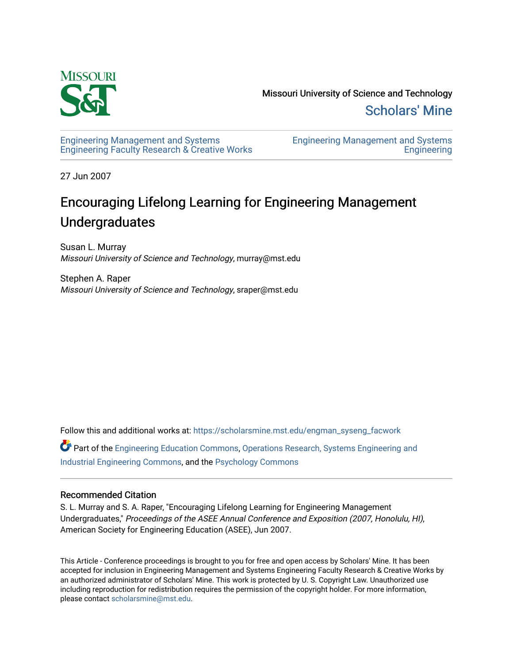

Missouri University of Science and Technology [Scholars' Mine](https://scholarsmine.mst.edu/) 

[Engineering Management and Systems](https://scholarsmine.mst.edu/engman_syseng_facwork)  [Engineering Faculty Research & Creative Works](https://scholarsmine.mst.edu/engman_syseng_facwork) [Engineering Management and Systems](https://scholarsmine.mst.edu/engman_syseng)  **Engineering** 

27 Jun 2007

# Encouraging Lifelong Learning for Engineering Management Undergraduates

Susan L. Murray Missouri University of Science and Technology, murray@mst.edu

Stephen A. Raper Missouri University of Science and Technology, sraper@mst.edu

Follow this and additional works at: [https://scholarsmine.mst.edu/engman\\_syseng\\_facwork](https://scholarsmine.mst.edu/engman_syseng_facwork?utm_source=scholarsmine.mst.edu%2Fengman_syseng_facwork%2F290&utm_medium=PDF&utm_campaign=PDFCoverPages) 

Part of the [Engineering Education Commons,](http://network.bepress.com/hgg/discipline/1191?utm_source=scholarsmine.mst.edu%2Fengman_syseng_facwork%2F290&utm_medium=PDF&utm_campaign=PDFCoverPages) [Operations Research, Systems Engineering and](http://network.bepress.com/hgg/discipline/305?utm_source=scholarsmine.mst.edu%2Fengman_syseng_facwork%2F290&utm_medium=PDF&utm_campaign=PDFCoverPages) [Industrial Engineering Commons,](http://network.bepress.com/hgg/discipline/305?utm_source=scholarsmine.mst.edu%2Fengman_syseng_facwork%2F290&utm_medium=PDF&utm_campaign=PDFCoverPages) and the [Psychology Commons](http://network.bepress.com/hgg/discipline/404?utm_source=scholarsmine.mst.edu%2Fengman_syseng_facwork%2F290&utm_medium=PDF&utm_campaign=PDFCoverPages) 

#### Recommended Citation

S. L. Murray and S. A. Raper, "Encouraging Lifelong Learning for Engineering Management Undergraduates," Proceedings of the ASEE Annual Conference and Exposition (2007, Honolulu, HI), American Society for Engineering Education (ASEE), Jun 2007.

This Article - Conference proceedings is brought to you for free and open access by Scholars' Mine. It has been accepted for inclusion in Engineering Management and Systems Engineering Faculty Research & Creative Works by an authorized administrator of Scholars' Mine. This work is protected by U. S. Copyright Law. Unauthorized use including reproduction for redistribution requires the permission of the copyright holder. For more information, please contact [scholarsmine@mst.edu.](mailto:scholarsmine@mst.edu)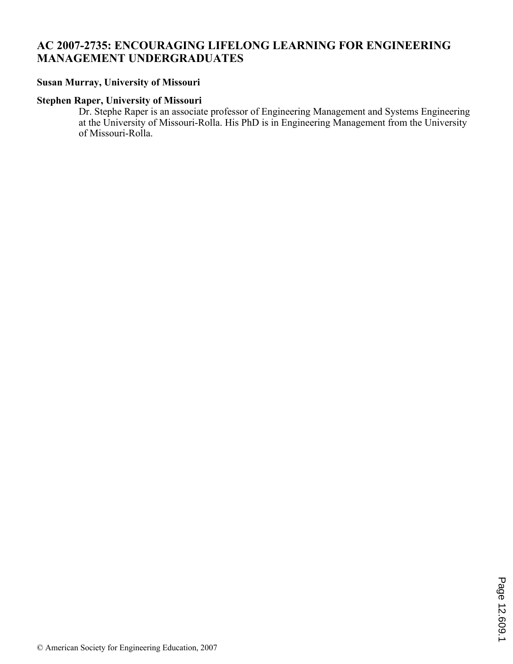# **AC 2007-2735: ENCOURAGING LIFELONG LEARNING FOR ENGINEERING MANAGEMENT UNDERGRADUATES**

### **Susan Murray, University of Missouri**

### **Stephen Raper, University of Missouri**

Dr. Stephe Raper is an associate professor of Engineering Management and Systems Engineering at the University of Missouri-Rolla. His PhD is in Engineering Management from the University of Missouri-Rolla.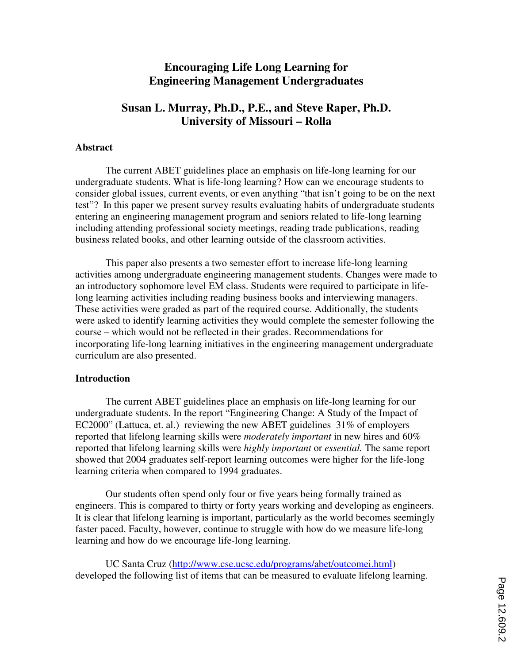# **Encouraging Life Long Learning for Engineering Management Undergraduates**

## **Susan L. Murray, Ph.D., P.E., and Steve Raper, Ph.D. University of Missouri – Rolla**

### **Abstract**

The current ABET guidelines place an emphasis on life-long learning for our undergraduate students. What is life-long learning? How can we encourage students to consider global issues, current events, or even anything "that isn't going to be on the next test"? In this paper we present survey results evaluating habits of undergraduate students entering an engineering management program and seniors related to life-long learning including attending professional society meetings, reading trade publications, reading business related books, and other learning outside of the classroom activities.

 This paper also presents a two semester effort to increase life-long learning activities among undergraduate engineering management students. Changes were made to an introductory sophomore level EM class. Students were required to participate in lifelong learning activities including reading business books and interviewing managers. These activities were graded as part of the required course. Additionally, the students were asked to identify learning activities they would complete the semester following the course – which would not be reflected in their grades. Recommendations for incorporating life-long learning initiatives in the engineering management undergraduate curriculum are also presented.

#### **Introduction**

The current ABET guidelines place an emphasis on life-long learning for our undergraduate students. In the report "Engineering Change: A Study of the Impact of EC2000" (Lattuca, et. al.) reviewing the new ABET guidelines 31% of employers reported that lifelong learning skills were *moderately important* in new hires and 60% reported that lifelong learning skills were *highly important* or *essential.* The same report showed that 2004 graduates self-report learning outcomes were higher for the life-long learning criteria when compared to 1994 graduates.

 Our students often spend only four or five years being formally trained as engineers. This is compared to thirty or forty years working and developing as engineers. It is clear that lifelong learning is important, particularly as the world becomes seemingly faster paced. Faculty, however, continue to struggle with how do we measure life-long learning and how do we encourage life-long learning.

 UC Santa Cruz (http://www.cse.ucsc.edu/programs/abet/outcomei.html) developed the following list of items that can be measured to evaluate lifelong learning.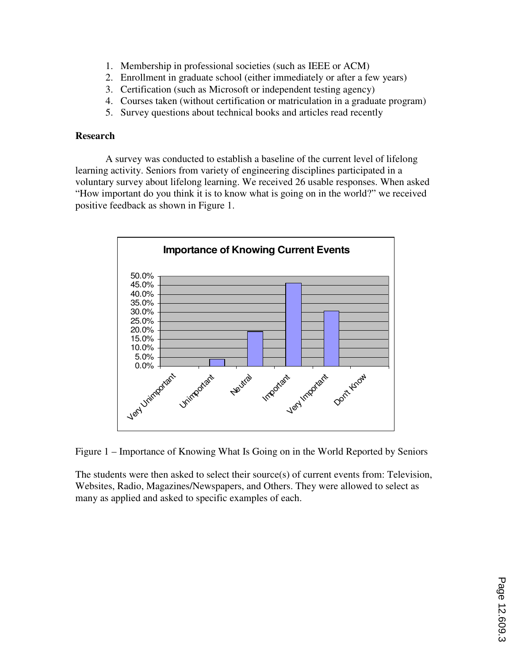- 1. Membership in professional societies (such as IEEE or ACM)
- 2. Enrollment in graduate school (either immediately or after a few years)
- 3. Certification (such as Microsoft or independent testing agency)
- 4. Courses taken (without certification or matriculation in a graduate program)
- 5. Survey questions about technical books and articles read recently

### **Research**

 A survey was conducted to establish a baseline of the current level of lifelong learning activity. Seniors from variety of engineering disciplines participated in a voluntary survey about lifelong learning. We received 26 usable responses. When asked "How important do you think it is to know what is going on in the world?" we received positive feedback as shown in Figure 1.



Figure 1 – Importance of Knowing What Is Going on in the World Reported by Seniors

The students were then asked to select their source(s) of current events from: Television, Websites, Radio, Magazines/Newspapers, and Others. They were allowed to select as many as applied and asked to specific examples of each.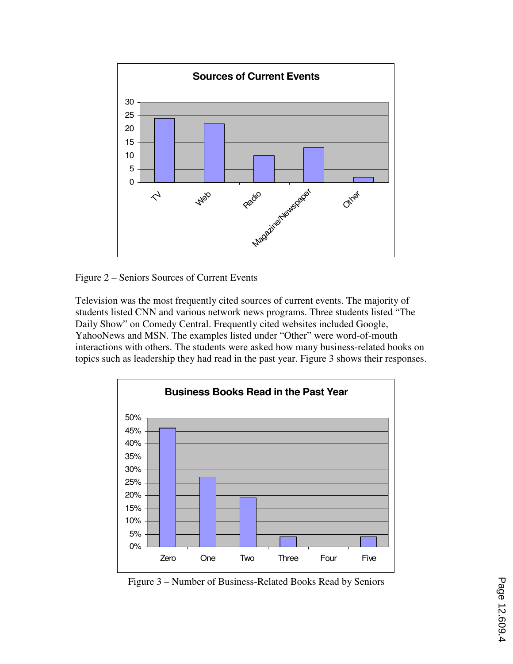

Figure 2 – Seniors Sources of Current Events

Television was the most frequently cited sources of current events. The majority of students listed CNN and various network news programs. Three students listed "The Daily Show" on Comedy Central. Frequently cited websites included Google, YahooNews and MSN. The examples listed under "Other" were word-of-mouth interactions with others. The students were asked how many business-related books on topics such as leadership they had read in the past year. Figure 3 shows their responses.



Figure 3 – Number of Business-Related Books Read by Seniors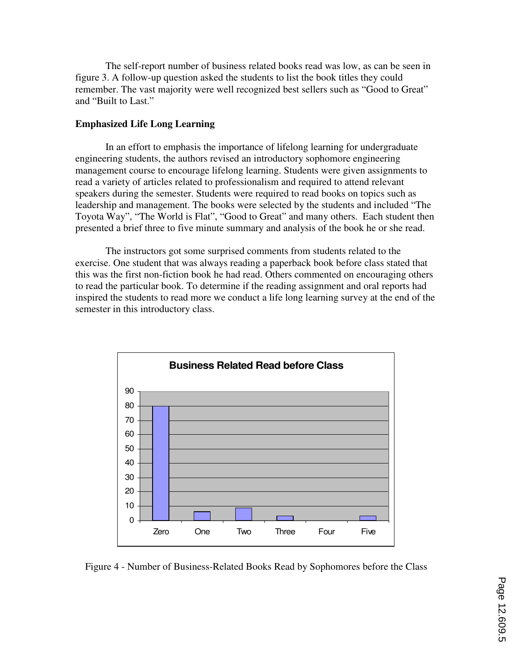The self-report number of business related books read was low, as can be seen in figure 3. A follow-up question asked the students to list the book titles they could remember. The vast majority were well recognized best sellers such as "Good to Great" and "Built to Last."

### **Emphasized Life Long Learning**

In an effort to emphasis the importance of lifelong learning for undergraduate engineering students, the authors revised an introductory sophomore engineering management course to encourage lifelong learning. Students were given assignments to read a variety of articles related to professionalism and required to attend relevant speakers during the semester. Students were required to read books on topics such as leadership and management. The books were selected by the students and included "The Toyota Way", "The World is Flat", "Good to Great" and many others. Each student then presented a brief three to five minute summary and analysis of the book he or she read.

 The instructors got some surprised comments from students related to the exercise. One student that was always reading a paperback book before class stated that this was the first non-fiction book he had read. Others commented on encouraging others to read the particular book. To determine if the reading assignment and oral reports had inspired the students to read more we conduct a life long learning survey at the end of the semester in this introductory class.



Figure 4 - Number of Business-Related Books Read by Sophomores before the Class